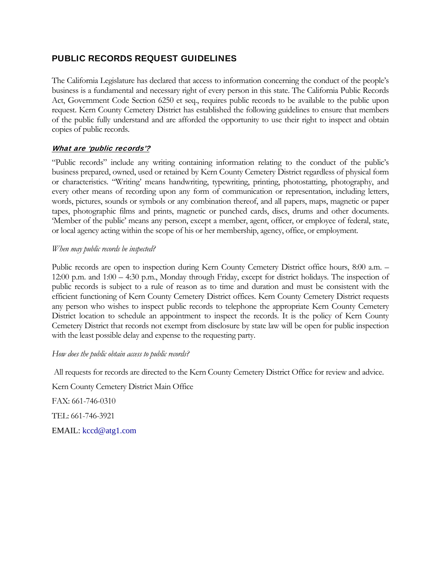## PUBLIC RECORDS REQUEST GUIDELINES

The California Legislature has declared that access to information concerning the conduct of the people's business is a fundamental and necessary right of every person in this state. The California Public Records Act, Government Code Section 6250 et seq., requires public records to be available to the public upon request. Kern County Cemetery District has established the following guidelines to ensure that members of the public fully understand and are afforded the opportunity to use their right to inspect and obtain copies of public records.

#### What are 'public records'?

"Public records" include any writing containing information relating to the conduct of the public's business prepared, owned, used or retained by Kern County Cemetery District regardless of physical form or characteristics. "Writing' means handwriting, typewriting, printing, photostatting, photography, and every other means of recording upon any form of communication or representation, including letters, words, pictures, sounds or symbols or any combination thereof, and all papers, maps, magnetic or paper tapes, photographic films and prints, magnetic or punched cards, discs, drums and other documents. 'Member of the public' means any person, except a member, agent, officer, or employee of federal, state, or local agency acting within the scope of his or her membership, agency, office, or employment.

#### *When may public records be inspected?*

Public records are open to inspection during Kern County Cemetery District office hours, 8:00 a.m. – 12:00 p.m. and 1:00 – 4:30 p.m., Monday through Friday, except for district holidays. The inspection of public records is subject to a rule of reason as to time and duration and must be consistent with the efficient functioning of Kern County Cemetery District offices. Kern County Cemetery District requests any person who wishes to inspect public records to telephone the appropriate Kern County Cemetery District location to schedule an appointment to inspect the records. It is the policy of Kern County Cemetery District that records not exempt from disclosure by state law will be open for public inspection with the least possible delay and expense to the requesting party.

#### *How does the public obtain access to public records?*

All requests for records are directed to the Kern County Cemetery District Office for review and advice.

Kern County Cemetery District Main Office FAX: 661-746-0310 TEL: 661-746-3921 EMAIL: kccd@atg1.com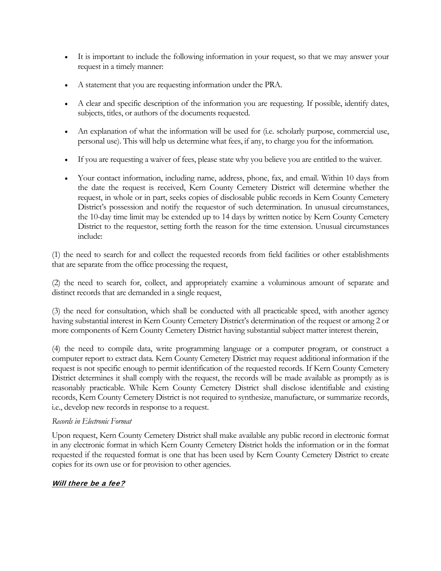- It is important to include the following information in your request, so that we may answer your request in a timely manner:
- A statement that you are requesting information under the PRA.
- A clear and specific description of the information you are requesting. If possible, identify dates, subjects, titles, or authors of the documents requested.
- An explanation of what the information will be used for (i.e. scholarly purpose, commercial use, personal use). This will help us determine what fees, if any, to charge you for the information.
- If you are requesting a waiver of fees, please state why you believe you are entitled to the waiver.
- Your contact information, including name, address, phone, fax, and email. Within 10 days from the date the request is received, Kern County Cemetery District will determine whether the request, in whole or in part, seeks copies of disclosable public records in Kern County Cemetery District's possession and notify the requestor of such determination. In unusual circumstances, the 10-day time limit may be extended up to 14 days by written notice by Kern County Cemetery District to the requestor, setting forth the reason for the time extension. Unusual circumstances include:

(1) the need to search for and collect the requested records from field facilities or other establishments that are separate from the office processing the request,

(2) the need to search for, collect, and appropriately examine a voluminous amount of separate and distinct records that are demanded in a single request,

(3) the need for consultation, which shall be conducted with all practicable speed, with another agency having substantial interest in Kern County Cemetery District's determination of the request or among 2 or more components of Kern County Cemetery District having substantial subject matter interest therein,

(4) the need to compile data, write programming language or a computer program, or construct a computer report to extract data. Kern County Cemetery District may request additional information if the request is not specific enough to permit identification of the requested records. If Kern County Cemetery District determines it shall comply with the request, the records will be made available as promptly as is reasonably practicable. While Kern County Cemetery District shall disclose identifiable and existing records, Kern County Cemetery District is not required to synthesize, manufacture, or summarize records, i.e., develop new records in response to a request.

#### *Records in Electronic Format*

Upon request, Kern County Cemetery District shall make available any public record in electronic format in any electronic format in which Kern County Cemetery District holds the information or in the format requested if the requested format is one that has been used by Kern County Cemetery District to create copies for its own use or for provision to other agencies.

#### Will there be a fee?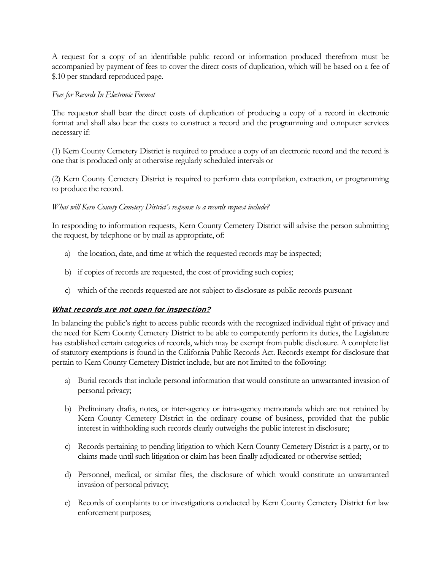A request for a copy of an identifiable public record or information produced therefrom must be accompanied by payment of fees to cover the direct costs of duplication, which will be based on a fee of \$.10 per standard reproduced page.

#### *Fees for Records In Electronic Format*

The requestor shall bear the direct costs of duplication of producing a copy of a record in electronic format and shall also bear the costs to construct a record and the programming and computer services necessary if:

(1) Kern County Cemetery District is required to produce a copy of an electronic record and the record is one that is produced only at otherwise regularly scheduled intervals or

(2) Kern County Cemetery District is required to perform data compilation, extraction, or programming to produce the record.

#### *What will Kern County Cemetery District's response to a records request include?*

In responding to information requests, Kern County Cemetery District will advise the person submitting the request, by telephone or by mail as appropriate, of:

- a) the location, date, and time at which the requested records may be inspected;
- b) if copies of records are requested, the cost of providing such copies;
- c) which of the records requested are not subject to disclosure as public records pursuant

### What records are not open for inspection?

In balancing the public's right to access public records with the recognized individual right of privacy and the need for Kern County Cemetery District to be able to competently perform its duties, the Legislature has established certain categories of records, which may be exempt from public disclosure. A complete list of statutory exemptions is found in the California Public Records Act. Records exempt for disclosure that pertain to Kern County Cemetery District include, but are not limited to the following:

- a) Burial records that include personal information that would constitute an unwarranted invasion of personal privacy;
- b) Preliminary drafts, notes, or inter-agency or intra-agency memoranda which are not retained by Kern County Cemetery District in the ordinary course of business, provided that the public interest in withholding such records clearly outweighs the public interest in disclosure;
- c) Records pertaining to pending litigation to which Kern County Cemetery District is a party, or to claims made until such litigation or claim has been finally adjudicated or otherwise settled;
- d) Personnel, medical, or similar files, the disclosure of which would constitute an unwarranted invasion of personal privacy;
- e) Records of complaints to or investigations conducted by Kern County Cemetery District for law enforcement purposes;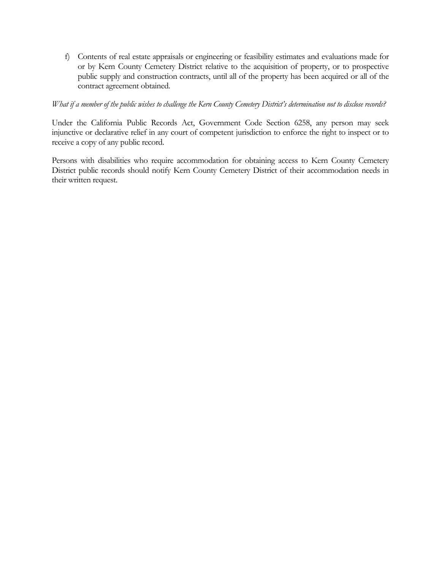f) Contents of real estate appraisals or engineering or feasibility estimates and evaluations made for or by Kern County Cemetery District relative to the acquisition of property, or to prospective public supply and construction contracts, until all of the property has been acquired or all of the contract agreement obtained.

#### *What if a member of the public wishes to challenge the Kern County Cemetery District's determination not to disclose records?*

Under the California Public Records Act, Government Code Section 6258, any person may seek injunctive or declarative relief in any court of competent jurisdiction to enforce the right to inspect or to receive a copy of any public record.

Persons with disabilities who require accommodation for obtaining access to Kern County Cemetery District public records should notify Kern County Cemetery District of their accommodation needs in their written request.